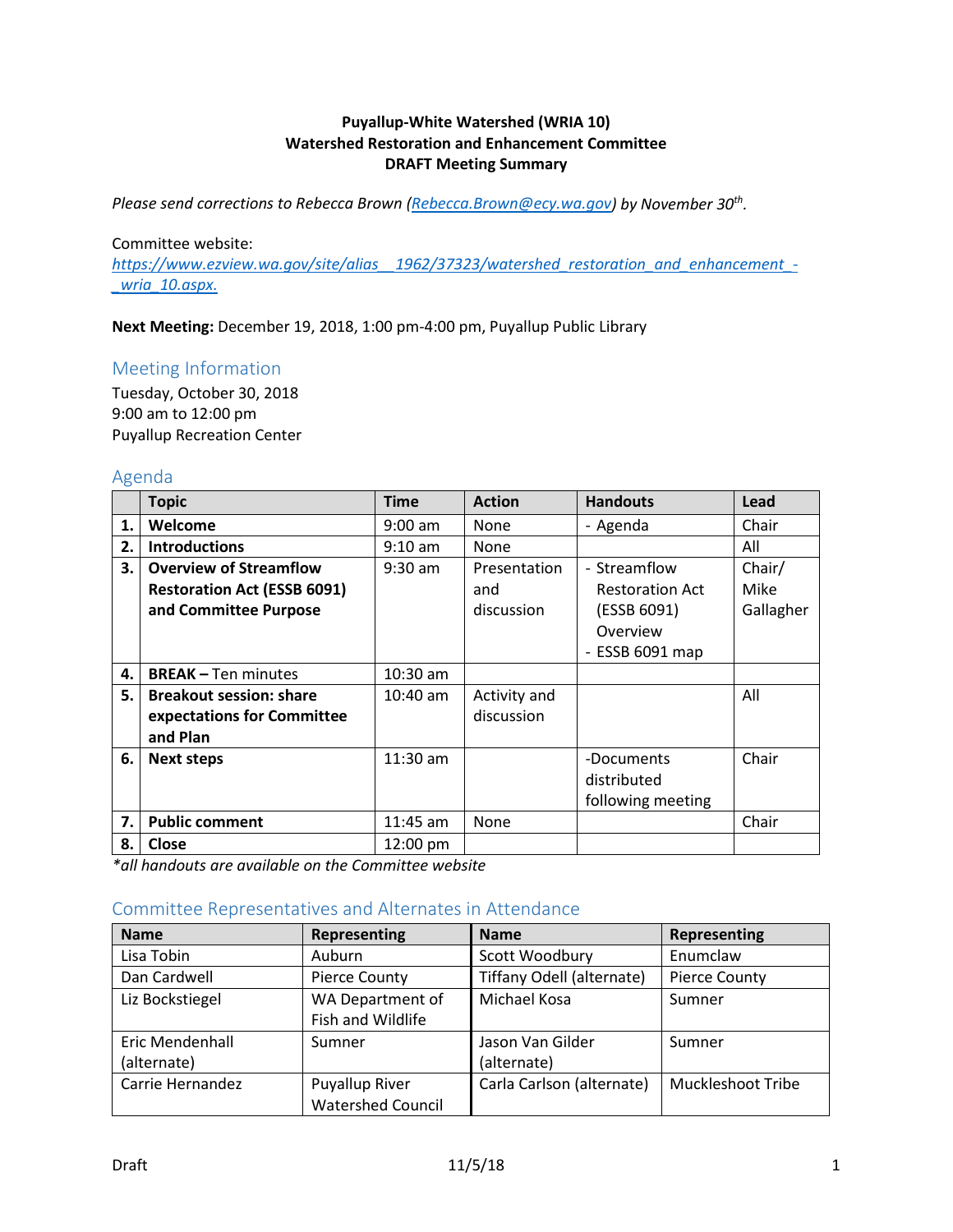### **Puyallup-White Watershed (WRIA 10) Watershed Restoration and Enhancement Committee DRAFT Meeting Summary**

*Please send corrections to Rebecca Brown [\(Rebecca.Brown@ecy.wa.gov\)](mailto:Rebecca.Brown@ecy.wa.gov) by November 30th.*

#### Committee website:

*[https://www.ezview.wa.gov/site/alias\\_\\_1962/37323/watershed\\_restoration\\_and\\_enhancement\\_-](https://www.ezview.wa.gov/site/alias__1962/37323/watershed_restoration_and_enhancement_-_wria_10.aspx) [\\_wria\\_10.aspx.](https://www.ezview.wa.gov/site/alias__1962/37323/watershed_restoration_and_enhancement_-_wria_10.aspx)* 

**Next Meeting:** December 19, 2018, 1:00 pm-4:00 pm, Puyallup Public Library

#### Meeting Information

Tuesday, October 30, 2018 9:00 am to 12:00 pm Puyallup Recreation Center

#### Agenda

|    | <b>Topic</b>                       | <b>Time</b>        | <b>Action</b> | <b>Handouts</b>        | Lead      |
|----|------------------------------------|--------------------|---------------|------------------------|-----------|
| 1. | Welcome                            | $9:00$ am          | <b>None</b>   | - Agenda               | Chair     |
| 2. | <b>Introductions</b>               | $9:10$ am          | None          |                        | All       |
| 3. | <b>Overview of Streamflow</b>      | $9:30$ am          | Presentation  | - Streamflow           | Chair/    |
|    | <b>Restoration Act (ESSB 6091)</b> |                    | and           | <b>Restoration Act</b> | Mike      |
|    | and Committee Purpose              |                    | discussion    | (ESSB 6091)            | Gallagher |
|    |                                    |                    |               | Overview               |           |
|    |                                    |                    |               | - ESSB 6091 map        |           |
| 4. | <b>BREAK - Ten minutes</b>         | $10:30$ am         |               |                        |           |
| 5. | <b>Breakout session: share</b>     | $10:40$ am         | Activity and  |                        | All       |
|    | expectations for Committee         |                    | discussion    |                        |           |
|    | and Plan                           |                    |               |                        |           |
| 6. | <b>Next steps</b>                  | $11:30$ am         |               | -Documents             | Chair     |
|    |                                    |                    |               | distributed            |           |
|    |                                    |                    |               | following meeting      |           |
| 7. | <b>Public comment</b>              | $11:45$ am         | None          |                        | Chair     |
| 8. | <b>Close</b>                       | $12:00 \text{ pm}$ |               |                        |           |

*\*all handouts are available on the Committee website*

#### Committee Representatives and Alternates in Attendance

| <b>Name</b>                    | Representing                                      | <b>Name</b>                     | Representing             |
|--------------------------------|---------------------------------------------------|---------------------------------|--------------------------|
| Lisa Tobin                     | Auburn                                            | Scott Woodbury                  | Enumclaw                 |
| Dan Cardwell                   | Pierce County                                     | Tiffany Odell (alternate)       | <b>Pierce County</b>     |
| Liz Bockstiegel                | WA Department of<br>Fish and Wildlife             | Michael Kosa                    | Sumner                   |
| Eric Mendenhall<br>(alternate) | Sumner                                            | Jason Van Gilder<br>(alternate) | Sumner                   |
| Carrie Hernandez               | <b>Puyallup River</b><br><b>Watershed Council</b> | Carla Carlson (alternate)       | <b>Muckleshoot Tribe</b> |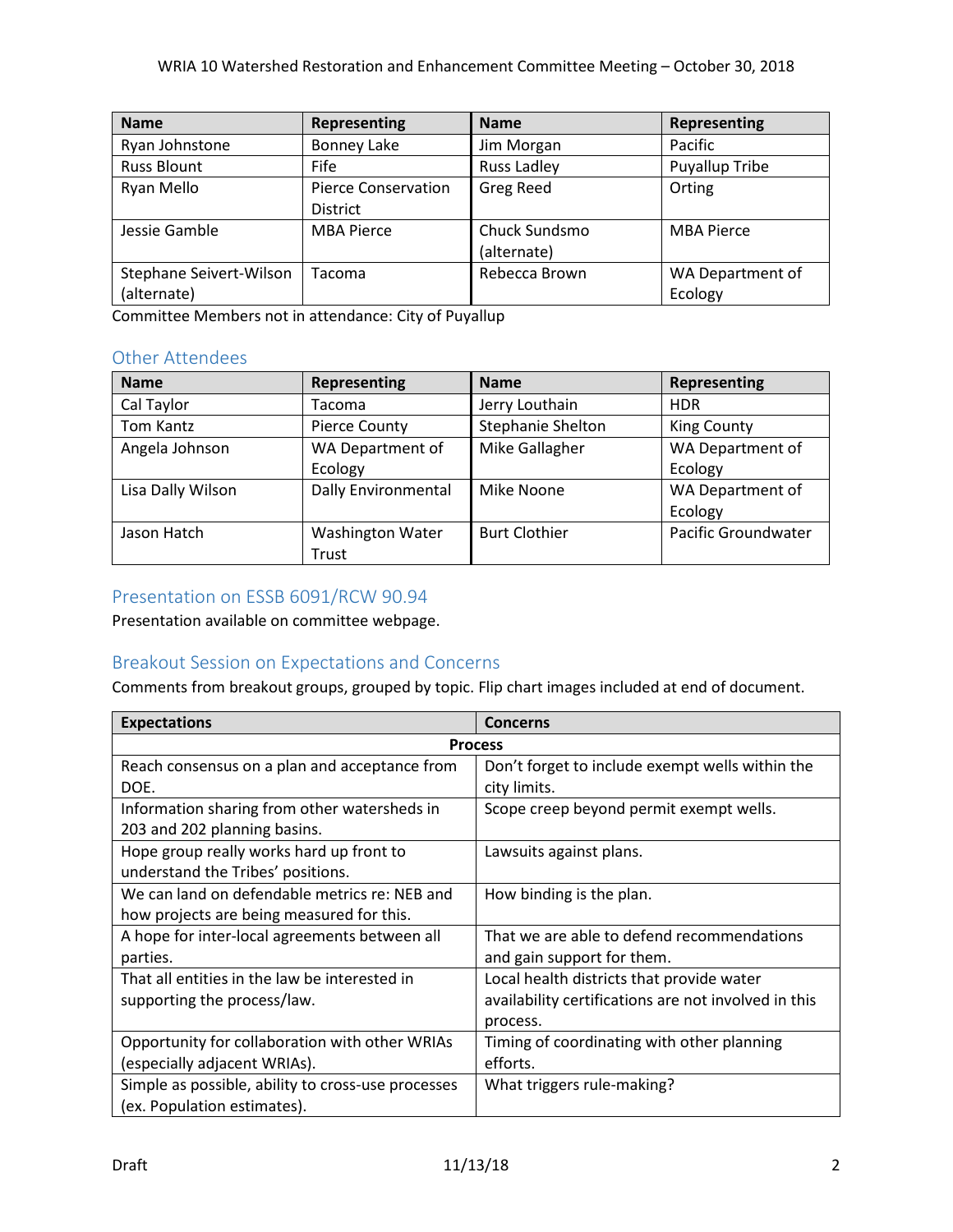| <b>Name</b>             | Representing               | <b>Name</b>        | Representing      |
|-------------------------|----------------------------|--------------------|-------------------|
| Ryan Johnstone          | <b>Bonney Lake</b>         | Jim Morgan         | Pacific           |
| <b>Russ Blount</b>      | <b>Fife</b>                | <b>Russ Ladley</b> | Puyallup Tribe    |
| Ryan Mello              | <b>Pierce Conservation</b> | <b>Greg Reed</b>   | Orting            |
|                         | <b>District</b>            |                    |                   |
| Jessie Gamble           | <b>MBA Pierce</b>          | Chuck Sundsmo      | <b>MBA Pierce</b> |
|                         |                            | (alternate)        |                   |
| Stephane Seivert-Wilson | Tacoma                     | Rebecca Brown      | WA Department of  |
| (alternate)             |                            |                    | Ecology           |

Committee Members not in attendance: City of Puyallup

## Other Attendees

| <b>Name</b>       | <b>Representing</b>        | <b>Name</b>          | Representing               |
|-------------------|----------------------------|----------------------|----------------------------|
| Cal Taylor        | Tacoma                     | Jerry Louthain       | <b>HDR</b>                 |
| Tom Kantz         | <b>Pierce County</b>       | Stephanie Shelton    | <b>King County</b>         |
| Angela Johnson    | WA Department of           | Mike Gallagher       | WA Department of           |
|                   | Ecology                    |                      | Ecology                    |
| Lisa Dally Wilson | <b>Dally Environmental</b> | Mike Noone           | WA Department of           |
|                   |                            |                      | Ecology                    |
| Jason Hatch       | <b>Washington Water</b>    | <b>Burt Clothier</b> | <b>Pacific Groundwater</b> |
|                   | Trust                      |                      |                            |

## Presentation on ESSB 6091/RCW 90.94

Presentation available on committee webpage.

## Breakout Session on Expectations and Concerns

Comments from breakout groups, grouped by topic. Flip chart images included at end of document.

| <b>Expectations</b>                                | Concerns                                             |  |
|----------------------------------------------------|------------------------------------------------------|--|
| <b>Process</b>                                     |                                                      |  |
| Reach consensus on a plan and acceptance from      | Don't forget to include exempt wells within the      |  |
| DOE.                                               | city limits.                                         |  |
| Information sharing from other watersheds in       | Scope creep beyond permit exempt wells.              |  |
| 203 and 202 planning basins.                       |                                                      |  |
| Hope group really works hard up front to           | Lawsuits against plans.                              |  |
| understand the Tribes' positions.                  |                                                      |  |
| We can land on defendable metrics re: NEB and      | How binding is the plan.                             |  |
| how projects are being measured for this.          |                                                      |  |
| A hope for inter-local agreements between all      | That we are able to defend recommendations           |  |
| parties.                                           | and gain support for them.                           |  |
| That all entities in the law be interested in      | Local health districts that provide water            |  |
| supporting the process/law.                        | availability certifications are not involved in this |  |
|                                                    | process.                                             |  |
| Opportunity for collaboration with other WRIAs     | Timing of coordinating with other planning           |  |
| (especially adjacent WRIAs).                       | efforts.                                             |  |
| Simple as possible, ability to cross-use processes | What triggers rule-making?                           |  |
| (ex. Population estimates).                        |                                                      |  |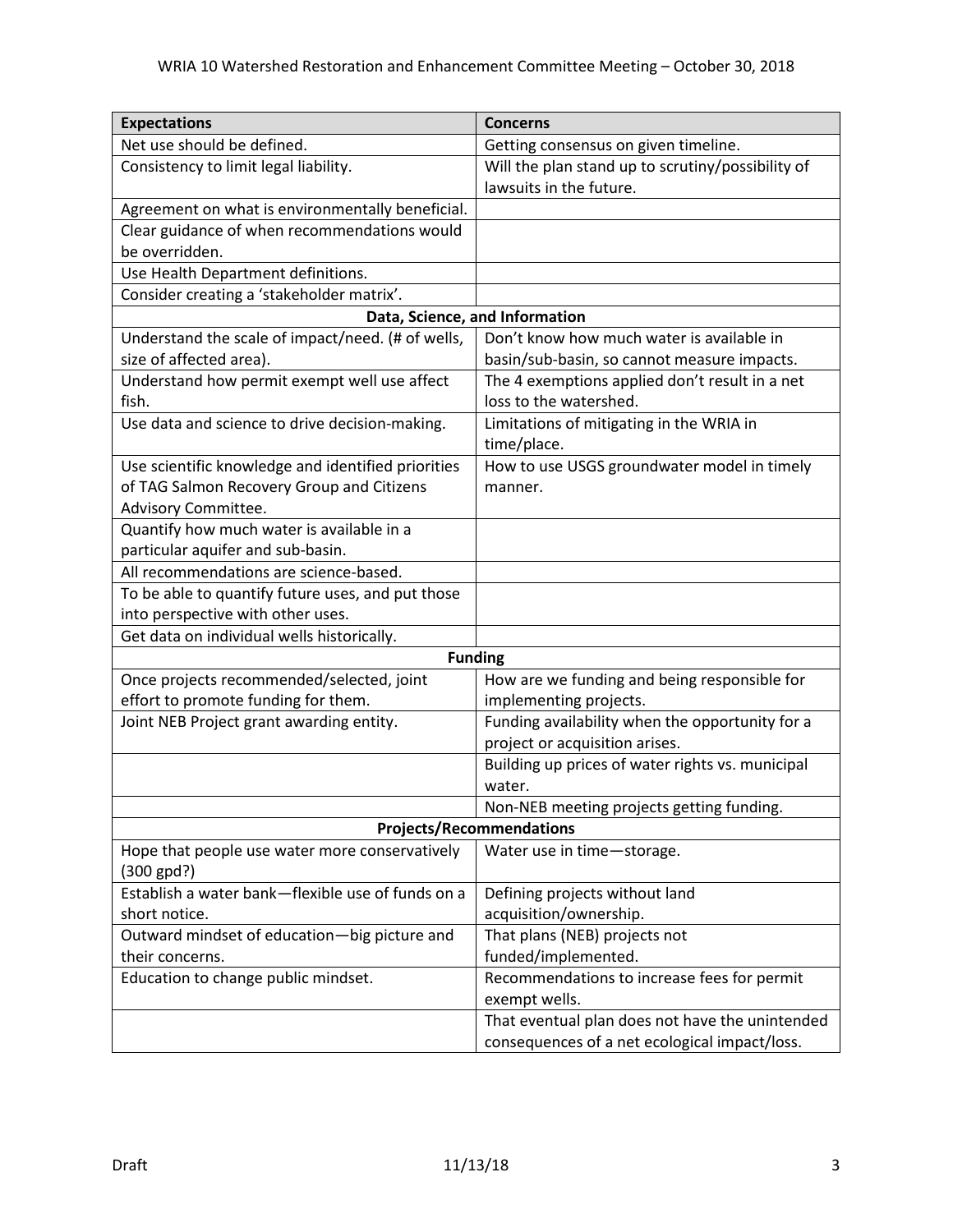| <b>Expectations</b>                                            | <b>Concerns</b>                                   |  |
|----------------------------------------------------------------|---------------------------------------------------|--|
| Net use should be defined.                                     | Getting consensus on given timeline.              |  |
| Consistency to limit legal liability.                          | Will the plan stand up to scrutiny/possibility of |  |
|                                                                | lawsuits in the future.                           |  |
| Agreement on what is environmentally beneficial.               |                                                   |  |
| Clear guidance of when recommendations would                   |                                                   |  |
| be overridden.                                                 |                                                   |  |
| Use Health Department definitions.                             |                                                   |  |
| Consider creating a 'stakeholder matrix'.                      |                                                   |  |
|                                                                | Data, Science, and Information                    |  |
| Understand the scale of impact/need. (# of wells,              | Don't know how much water is available in         |  |
| size of affected area).                                        | basin/sub-basin, so cannot measure impacts.       |  |
| Understand how permit exempt well use affect                   | The 4 exemptions applied don't result in a net    |  |
| fish.                                                          | loss to the watershed.                            |  |
| Use data and science to drive decision-making.                 | Limitations of mitigating in the WRIA in          |  |
|                                                                | time/place.                                       |  |
| Use scientific knowledge and identified priorities             | How to use USGS groundwater model in timely       |  |
| of TAG Salmon Recovery Group and Citizens                      | manner.                                           |  |
| Advisory Committee.                                            |                                                   |  |
| Quantify how much water is available in a                      |                                                   |  |
| particular aquifer and sub-basin.                              |                                                   |  |
| All recommendations are science-based.                         |                                                   |  |
| To be able to quantify future uses, and put those              |                                                   |  |
| into perspective with other uses.                              |                                                   |  |
| Get data on individual wells historically.                     |                                                   |  |
| <b>Funding</b>                                                 |                                                   |  |
| Once projects recommended/selected, joint                      | How are we funding and being responsible for      |  |
| effort to promote funding for them.                            | implementing projects.                            |  |
| Joint NEB Project grant awarding entity.                       | Funding availability when the opportunity for a   |  |
|                                                                | project or acquisition arises.                    |  |
|                                                                | Building up prices of water rights vs. municipal  |  |
|                                                                | water.                                            |  |
|                                                                | Non-NEB meeting projects getting funding.         |  |
|                                                                | <b>Projects/Recommendations</b>                   |  |
| Hope that people use water more conservatively<br>$(300$ gpd?) | Water use in time-storage.                        |  |
| Establish a water bank-flexible use of funds on a              | Defining projects without land                    |  |
| short notice.                                                  | acquisition/ownership.                            |  |
| Outward mindset of education-big picture and                   | That plans (NEB) projects not                     |  |
| their concerns.                                                | funded/implemented.                               |  |
| Education to change public mindset.                            | Recommendations to increase fees for permit       |  |
|                                                                | exempt wells.                                     |  |
|                                                                | That eventual plan does not have the unintended   |  |
|                                                                | consequences of a net ecological impact/loss.     |  |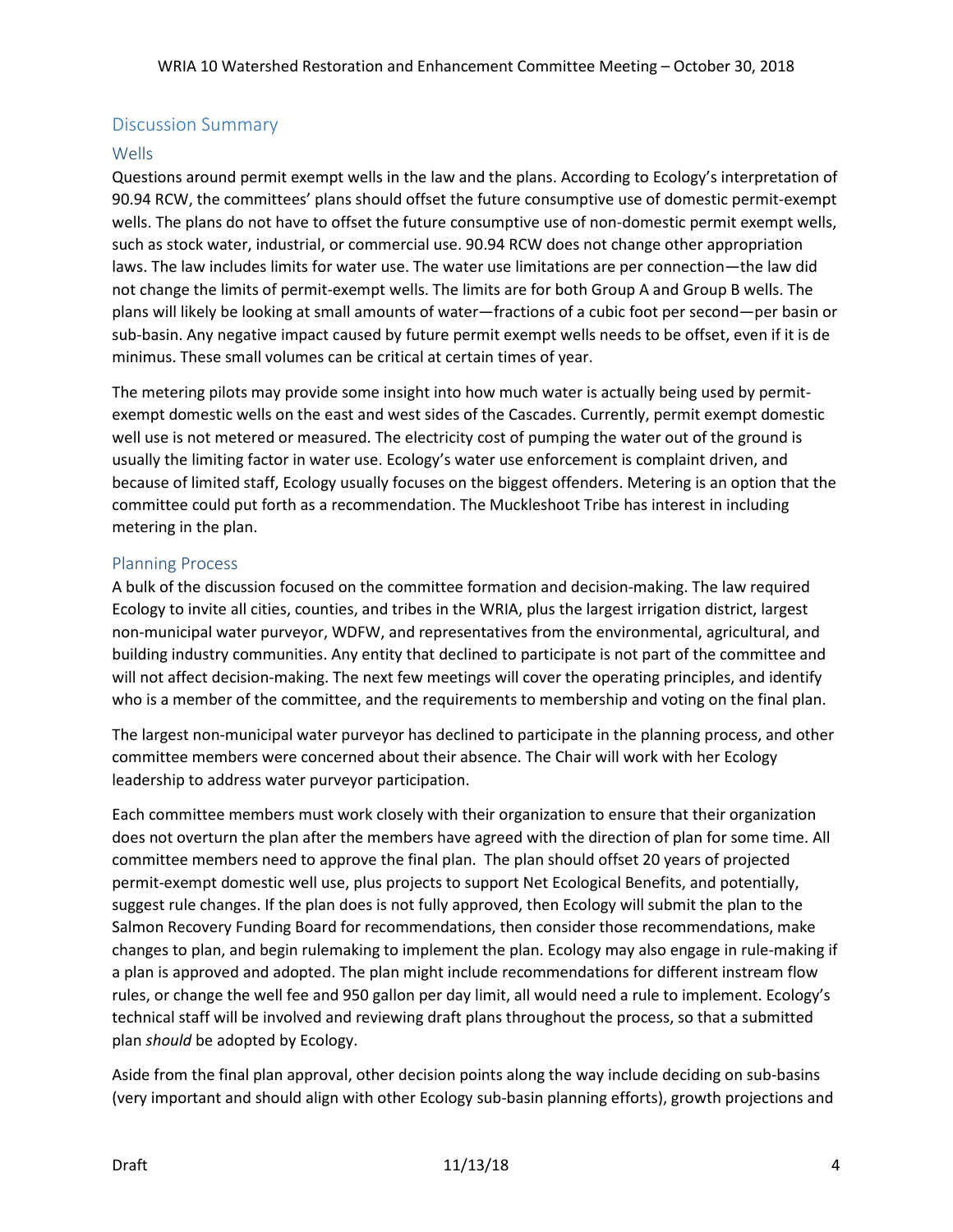## Discussion Summary

### Wells

Questions around permit exempt wells in the law and the plans. According to Ecology's interpretation of 90.94 RCW, the committees' plans should offset the future consumptive use of domestic permit-exempt wells. The plans do not have to offset the future consumptive use of non-domestic permit exempt wells, such as stock water, industrial, or commercial use. 90.94 RCW does not change other appropriation laws. The law includes limits for water use. The water use limitations are per connection—the law did not change the limits of permit-exempt wells. The limits are for both Group A and Group B wells. The plans will likely be looking at small amounts of water—fractions of a cubic foot per second—per basin or sub-basin. Any negative impact caused by future permit exempt wells needs to be offset, even if it is de minimus. These small volumes can be critical at certain times of year.

The metering pilots may provide some insight into how much water is actually being used by permitexempt domestic wells on the east and west sides of the Cascades. Currently, permit exempt domestic well use is not metered or measured. The electricity cost of pumping the water out of the ground is usually the limiting factor in water use. Ecology's water use enforcement is complaint driven, and because of limited staff, Ecology usually focuses on the biggest offenders. Metering is an option that the committee could put forth as a recommendation. The Muckleshoot Tribe has interest in including metering in the plan.

### Planning Process

A bulk of the discussion focused on the committee formation and decision-making. The law required Ecology to invite all cities, counties, and tribes in the WRIA, plus the largest irrigation district, largest non-municipal water purveyor, WDFW, and representatives from the environmental, agricultural, and building industry communities. Any entity that declined to participate is not part of the committee and will not affect decision-making. The next few meetings will cover the operating principles, and identify who is a member of the committee, and the requirements to membership and voting on the final plan.

The largest non-municipal water purveyor has declined to participate in the planning process, and other committee members were concerned about their absence. The Chair will work with her Ecology leadership to address water purveyor participation.

Each committee members must work closely with their organization to ensure that their organization does not overturn the plan after the members have agreed with the direction of plan for some time. All committee members need to approve the final plan. The plan should offset 20 years of projected permit-exempt domestic well use, plus projects to support Net Ecological Benefits, and potentially, suggest rule changes. If the plan does is not fully approved, then Ecology will submit the plan to the Salmon Recovery Funding Board for recommendations, then consider those recommendations, make changes to plan, and begin rulemaking to implement the plan. Ecology may also engage in rule-making if a plan is approved and adopted. The plan might include recommendations for different instream flow rules, or change the well fee and 950 gallon per day limit, all would need a rule to implement. Ecology's technical staff will be involved and reviewing draft plans throughout the process, so that a submitted plan *should* be adopted by Ecology.

Aside from the final plan approval, other decision points along the way include deciding on sub-basins (very important and should align with other Ecology sub-basin planning efforts), growth projections and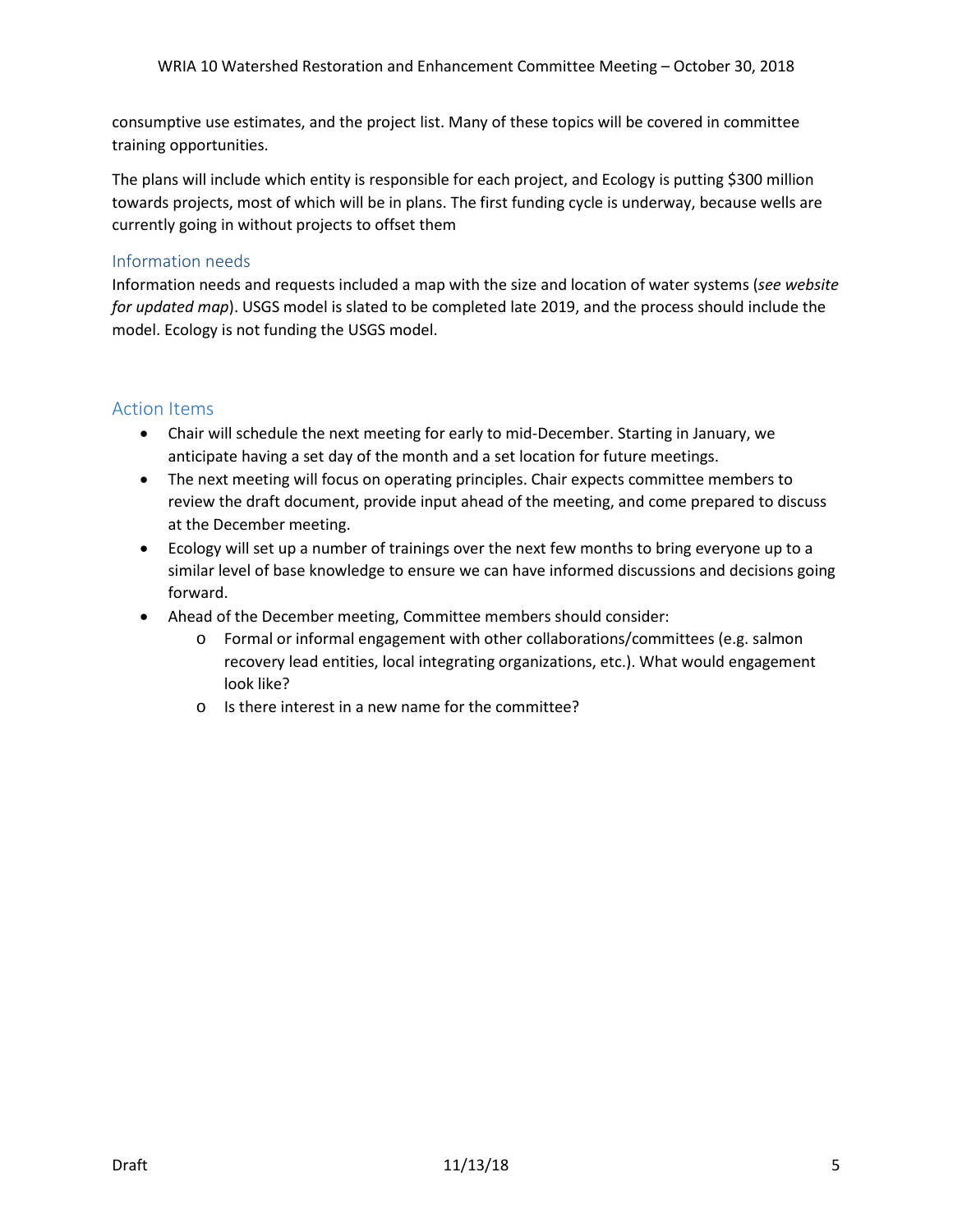consumptive use estimates, and the project list. Many of these topics will be covered in committee training opportunities.

The plans will include which entity is responsible for each project, and Ecology is putting \$300 million towards projects, most of which will be in plans. The first funding cycle is underway, because wells are currently going in without projects to offset them

### Information needs

Information needs and requests included a map with the size and location of water systems (*see website for updated map*). USGS model is slated to be completed late 2019, and the process should include the model. Ecology is not funding the USGS model.

### Action Items

- Chair will schedule the next meeting for early to mid-December. Starting in January, we anticipate having a set day of the month and a set location for future meetings.
- The next meeting will focus on operating principles. Chair expects committee members to review the draft document, provide input ahead of the meeting, and come prepared to discuss at the December meeting.
- Ecology will set up a number of trainings over the next few months to bring everyone up to a similar level of base knowledge to ensure we can have informed discussions and decisions going forward.
- Ahead of the December meeting, Committee members should consider:
	- o Formal or informal engagement with other collaborations/committees (e.g. salmon recovery lead entities, local integrating organizations, etc.). What would engagement look like?
	- o Is there interest in a new name for the committee?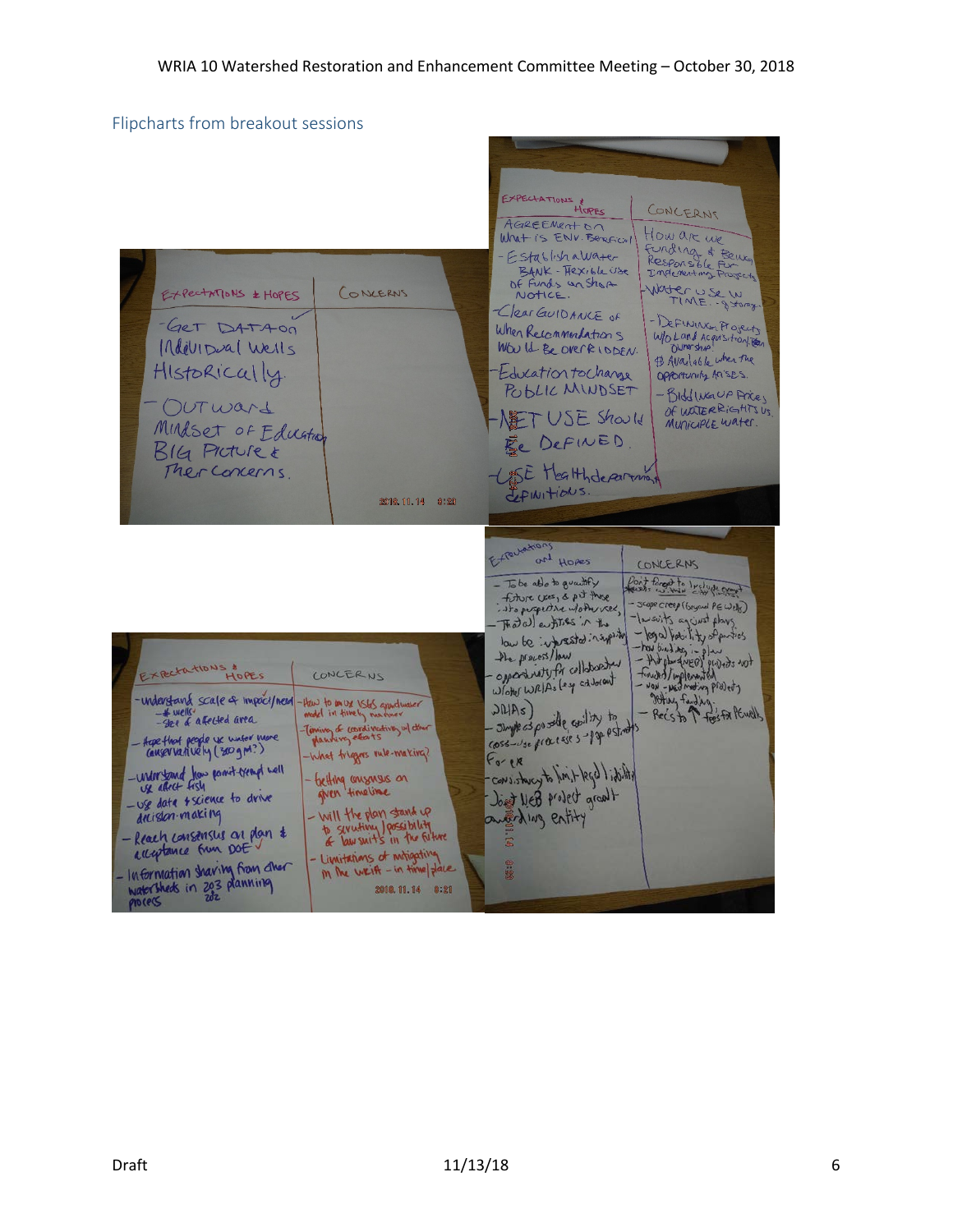# Flipcharts from breakout sessions

| EXPECTATIONS & HOPES<br>(ONCERNS<br>-GET DATAOD<br>Individual Wells<br>HIstorically.<br>OUTWard<br>Mulset of Eduation<br>BIG Picture &                                                                                                                                                                                                                                                                                                                                                                                                                                                                   | EXPECTATIONS &<br>HOPES<br>CONCERNS<br>AGREEMENTON<br>How are we<br>What is ENV. Beneficial<br>Funding & Being<br>- Establishawater<br>BANK - FRXible Use<br>Indementing Projects<br>Of Funds an Shart<br>Water USE W<br>NOTICE.<br>-Clear GUIDANCE OF<br>- DEFINING Projects<br>When Recommendations<br>WO Land Acquisition<br>WWW Id Be OVER LODEN.<br># Available when the<br>Education to change<br>Opportunity Arises.<br>POBLIC MINDSET<br>- Bildliver UP Arce,<br>Of WATERRIGHTS US<br>NET USE Should<br>MUniciple water.<br>Ee DEFINED. |
|----------------------------------------------------------------------------------------------------------------------------------------------------------------------------------------------------------------------------------------------------------------------------------------------------------------------------------------------------------------------------------------------------------------------------------------------------------------------------------------------------------------------------------------------------------------------------------------------------------|-------------------------------------------------------------------------------------------------------------------------------------------------------------------------------------------------------------------------------------------------------------------------------------------------------------------------------------------------------------------------------------------------------------------------------------------------------------------------------------------------------------------------------------------------|
| Ther Concerns.<br>2018.11.14 8:23                                                                                                                                                                                                                                                                                                                                                                                                                                                                                                                                                                        | - USE Healthdepartman<br>LFINITIONS.                                                                                                                                                                                                                                                                                                                                                                                                                                                                                                            |
| EXPECTATIONS &<br>LONCERNS<br>HOPES<br>-understand scale & impact/need-<br>thew to an ux users apportunities                                                                                                                                                                                                                                                                                                                                                                                                                                                                                             | Expertations<br>and Hopes<br>CONCERNS<br>Point forgot to I religious<br>- To be also to growthy<br>fiture uses, & pit those<br>Scope creep (beyond PEWells)<br>isto puspective wother vier,<br>-lausvits against plays<br>Thatal entities in the<br>- legal hobility of parties<br>Wrights. between so wol<br>- And physical projects not<br>the process/low<br>wheredolles intertanting-<br>times/implemented<br>Woter WRIAs (ey address)<br>- NOW - NEW meeting projects<br>Hing Faudjug.<br>JMRs                                             |
| $-$ *wells<br>-See of affected area<br>-Timing of coordinating w/ dur<br>planning estats<br>Hope that people we water more<br>conservatively (300 gm?)<br>-What triggers rule-making?<br>- Understand how point trengt well<br>- betting consensus on<br>given timeline<br>- use date fiscience to drive<br>- will the plan stand up<br>decision-making<br>to severting possibility<br>- Reach consensus on plan &<br>acceptance from DOEV<br>- Limitations of motiopating<br>- Information sharing from cher<br>M Me write - in time , dare<br>watersheds in 203 planning<br>2018.11.14 8:21<br>process | - Rec's to 1 fees for PEWRILS<br>of killing glucoolesshing<br>Coss-vse processes-pap pstrats<br>$F_{\sigma}$ ex<br>etility: / bps/-limit dry works.com<br>Joint New Project growth<br>antifaling entity                                                                                                                                                                                                                                                                                                                                         |